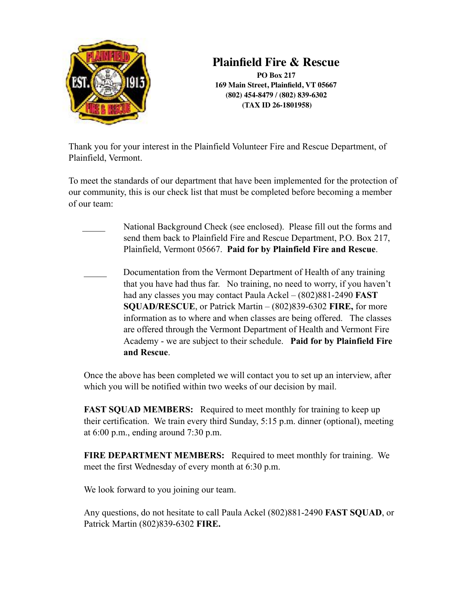

# **Plainfield Fire & Rescue**

**PO Box 217 169 Main Street, Plainfield, VT 05667 (802) 454-8479 / (802) 839-6302 (TAX ID 26-1801958)**

Thank you for your interest in the Plainfield Volunteer Fire and Rescue Department, of Plainfield, Vermont.

To meet the standards of our department that have been implemented for the protection of our community, this is our check list that must be completed before becoming a member of our team:

National Background Check (see enclosed). Please fill out the forms and send them back to Plainfield Fire and Rescue Department, P.O. Box 217, Plainfield, Vermont 05667. **Paid for by Plainfield Fire and Rescue**.

Documentation from the Vermont Department of Health of any training that you have had thus far. No training, no need to worry, if you haven't had any classes you may contact Paula Ackel – (802)881-2490 **FAST SQUAD/RESCUE**, or Patrick Martin – (802)839-6302 **FIRE,** for more information as to where and when classes are being offered. The classes are offered through the Vermont Department of Health and Vermont Fire Academy - we are subject to their schedule. **Paid for by Plainfield Fire and Rescue**.

Once the above has been completed we will contact you to set up an interview, after which you will be notified within two weeks of our decision by mail.

**FAST SQUAD MEMBERS:** Required to meet monthly for training to keep up their certification. We train every third Sunday, 5:15 p.m. dinner (optional), meeting at  $6:00$  p.m., ending around  $7:30$  p.m.

**FIRE DEPARTMENT MEMBERS:** Required to meet monthly for training. We meet the first Wednesday of every month at 6:30 p.m.

We look forward to you joining our team.

Any questions, do not hesitate to call Paula Ackel (802)881-2490 **FAST SQUAD**, or Patrick Martin (802)839-6302 **FIRE.**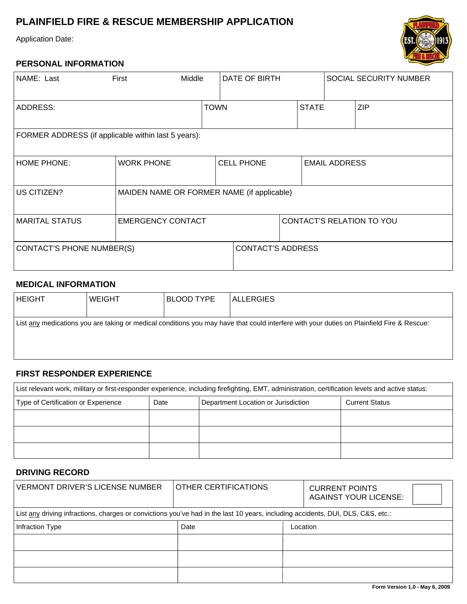## **PLAINFIELD FIRE & RESCUE MEMBERSHIP APPLICATION**

Application Date:

### **PERSONAL INFORMATION**

| NAME: Last                                          | First                                      | Middle |                   | <b>DATE OF BIRTH</b>     |                           |                      | SOCIAL SECURITY NUMBER |
|-----------------------------------------------------|--------------------------------------------|--------|-------------------|--------------------------|---------------------------|----------------------|------------------------|
| <b>ADDRESS:</b>                                     |                                            |        | <b>TOWN</b>       |                          | <b>STATE</b>              |                      | <b>ZIP</b>             |
| FORMER ADDRESS (if applicable within last 5 years): |                                            |        |                   |                          |                           |                      |                        |
| <b>HOME PHONE:</b>                                  | <b>WORK PHONE</b>                          |        | <b>CELL PHONE</b> |                          |                           | <b>EMAIL ADDRESS</b> |                        |
| US CITIZEN?                                         | MAIDEN NAME OR FORMER NAME (if applicable) |        |                   |                          |                           |                      |                        |
| <b>MARITAL STATUS</b>                               | <b>EMERGENCY CONTACT</b>                   |        |                   |                          | CONTACT'S RELATION TO YOU |                      |                        |
| CONTACT'S PHONE NUMBER(S)                           |                                            |        |                   | <b>CONTACT'S ADDRESS</b> |                           |                      |                        |

#### **MEDICAL INFORMATION**

| <b>HEIGHT</b> | <b>WEIGHT</b> | <b>BLOOD TYPE</b> | <b>ALLERGIES</b>                                                                                                                          |
|---------------|---------------|-------------------|-------------------------------------------------------------------------------------------------------------------------------------------|
|               |               |                   | List any medications you are taking or medical conditions you may have that could interfere with your duties on Plainfield Fire & Rescue: |

### **FIRST RESPONDER EXPERIENCE**

| List relevant work, military or first-responder experience, including firefighting, EMT, administration, certification levels and active status: |      |                                     |                       |  |  |  |
|--------------------------------------------------------------------------------------------------------------------------------------------------|------|-------------------------------------|-----------------------|--|--|--|
| Type of Certification or Experience                                                                                                              | Date | Department Location or Jurisdiction | <b>Current Status</b> |  |  |  |
|                                                                                                                                                  |      |                                     |                       |  |  |  |
|                                                                                                                                                  |      |                                     |                       |  |  |  |
|                                                                                                                                                  |      |                                     |                       |  |  |  |

### **DRIVING RECORD**

| <b>VERMONT DRIVER'S LICENSE NUMBER</b>                                                                                          | <b>OTHER CERTIFICATIONS</b> |          | <b>CURRENT POINTS</b><br><b>AGAINST YOUR LICENSE:</b> |
|---------------------------------------------------------------------------------------------------------------------------------|-----------------------------|----------|-------------------------------------------------------|
| List any driving infractions, charges or convictions you've had in the last 10 years, including accidents, DUI, DLS, C&S, etc.: |                             |          |                                                       |
| Infraction Type                                                                                                                 | Date                        | Location |                                                       |
|                                                                                                                                 |                             |          |                                                       |
|                                                                                                                                 |                             |          |                                                       |
|                                                                                                                                 |                             |          |                                                       |

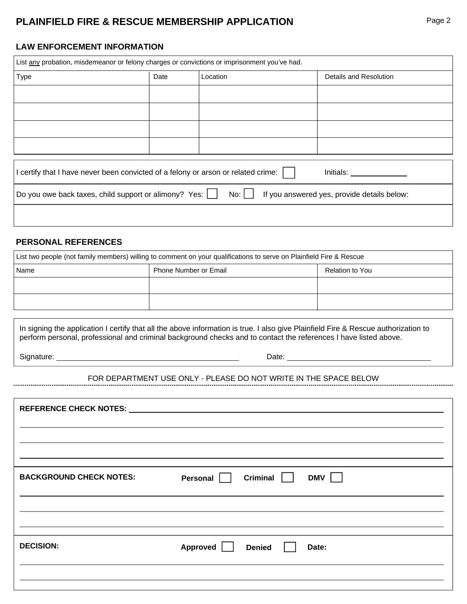### **PLAINFIELD FIRE & RESCUE MEMBERSHIP APPLICATION** Page 2

#### **LAW ENFORCEMENT INFORMATION**

| List any probation, misdemeanor or felony charges or convictions or imprisonment you've had.     |      |          |  |                        |  |  |  |
|--------------------------------------------------------------------------------------------------|------|----------|--|------------------------|--|--|--|
| Type                                                                                             | Date | Location |  | Details and Resolution |  |  |  |
|                                                                                                  |      |          |  |                        |  |  |  |
|                                                                                                  |      |          |  |                        |  |  |  |
|                                                                                                  |      |          |  |                        |  |  |  |
|                                                                                                  |      |          |  |                        |  |  |  |
|                                                                                                  |      |          |  |                        |  |  |  |
| I certify that I have never been convicted of a felony or arson or related crime:  <br>Initials: |      |          |  |                        |  |  |  |

| Do you owe back taxes, child support or alimony? Yes: $\Box$ No: $\Box$ If you answered yes, provide details below: |  |  |
|---------------------------------------------------------------------------------------------------------------------|--|--|
|---------------------------------------------------------------------------------------------------------------------|--|--|

#### **PERSONAL REFERENCES**

| List two people (not family members) willing to comment on your qualifications to serve on Plainfield Fire & Rescue |                              |                 |  |  |  |
|---------------------------------------------------------------------------------------------------------------------|------------------------------|-----------------|--|--|--|
| Name                                                                                                                | <b>Phone Number or Email</b> | Relation to You |  |  |  |
|                                                                                                                     |                              |                 |  |  |  |
|                                                                                                                     |                              |                 |  |  |  |
|                                                                                                                     |                              |                 |  |  |  |

In signing the application I certify that all the above information is true. I also give Plainfield Fire & Rescue authorization to perform personal, professional and criminal background checks and to contact the references I have listed above.

Signature: Date: Date: Date: Date: Date: Date: Date: Date: Date: Date: Date: Date: Date: Date: Date: Date: Date: Date: Date: Date: Date: Date: Date: Date: Date: Date: Date: Date: Date: Date: Date: Date: Date: Date: Date: D

# FOR DEPARTMENT USE ONLY - PLEASE DO NOT WRITE IN THE SPACE BELOW

| <b>BACKGROUND CHECK NOTES:</b> | Criminal $\vert \vert$<br>DMV  <br>Personal |
|--------------------------------|---------------------------------------------|
|                                |                                             |
|                                |                                             |
| <b>DECISION:</b>               | Approved<br><b>Denied</b><br>Date:          |
|                                |                                             |
|                                |                                             |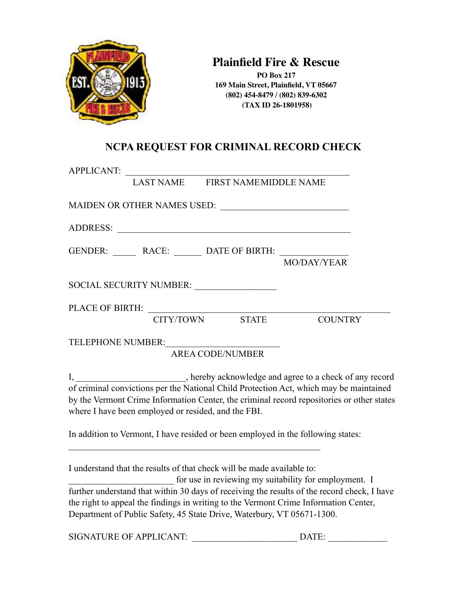

## **Plainfield Fire & Rescue**

**PO Box 217 169 Main Street, Plainfield, VT 05667 (802) 454-8479 / (802) 839-6302 (TAX ID 26-1801958)**

## **NCPA REQUEST FOR CRIMINAL RECORD CHECK**

| APPLICANT:                                                             |                         |                                                                                                                                                                                                                                                                            |  |
|------------------------------------------------------------------------|-------------------------|----------------------------------------------------------------------------------------------------------------------------------------------------------------------------------------------------------------------------------------------------------------------------|--|
| LAST NAME FIRST NAMEMIDDLE NAME                                        |                         |                                                                                                                                                                                                                                                                            |  |
|                                                                        |                         |                                                                                                                                                                                                                                                                            |  |
|                                                                        |                         |                                                                                                                                                                                                                                                                            |  |
| GENDER: ________ RACE: _______ DATE OF BIRTH: ___________              |                         | MO/DAY/YEAR                                                                                                                                                                                                                                                                |  |
| SOCIAL SECURITY NUMBER: ________________                               |                         |                                                                                                                                                                                                                                                                            |  |
| PLACE OF BIRTH: CITY/TOWN STATE                                        |                         | <b>COUNTRY</b>                                                                                                                                                                                                                                                             |  |
| TELEPHONE NUMBER:                                                      | <b>AREA CODE/NUMBER</b> |                                                                                                                                                                                                                                                                            |  |
| where I have been employed or resided, and the FBI.                    |                         | I, _________________________, hereby acknowledge and agree to a check of any record<br>of criminal convictions per the National Child Protection Act, which may be maintained<br>by the Vermont Crime Information Center, the criminal record repositories or other states |  |
|                                                                        |                         | In addition to Vermont, I have resided or been employed in the following states:                                                                                                                                                                                           |  |
| I understand that the results of that check will be made available to: |                         | for use in reviewing my suitability for employment. I                                                                                                                                                                                                                      |  |
|                                                                        |                         | further understand that within 30 days of receiving the results of the record check, I have<br>the right to appeal the findings in writing to the Vermont Crime Information Center,                                                                                        |  |

Department of Public Safety, 45 State Drive, Waterbury, VT 05671-1300.

SIGNATURE OF APPLICANT: \_\_\_\_\_\_\_\_\_\_\_\_\_\_\_\_\_\_\_\_\_\_\_ DATE: \_\_\_\_\_\_\_\_\_\_\_\_\_